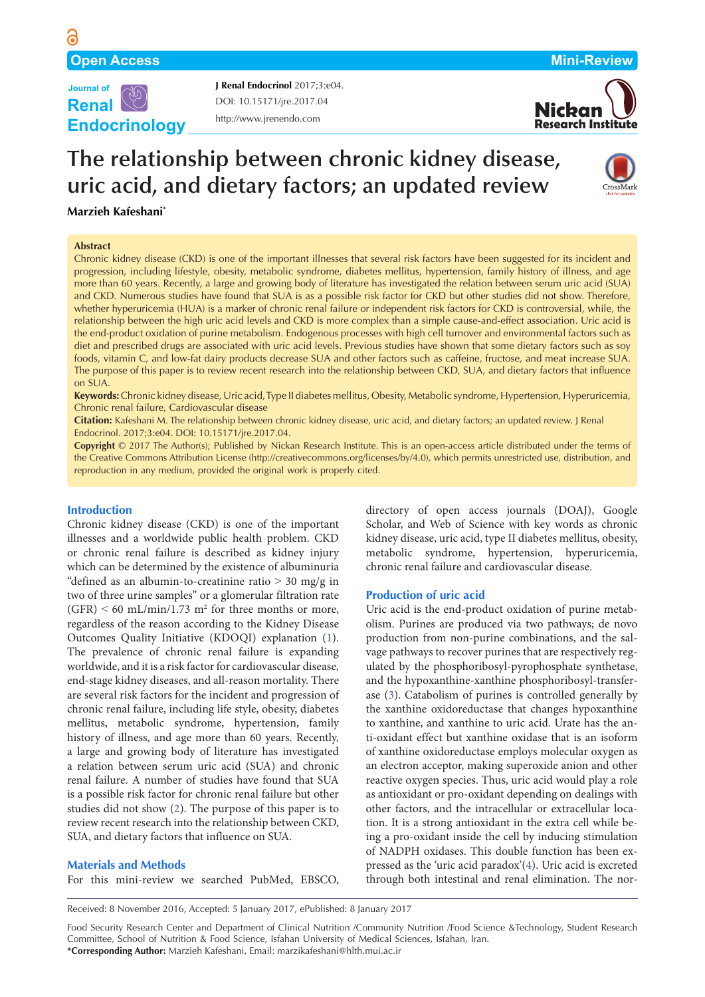

http://www.jrenendo.com DOI: [10.15171/jre.2017.04](http://dx.doi.org/10.15171/jre.2017.04) **J Renal Endocrinol** 2017;3:e04.



# **The relationship between chronic kidney disease, uric acid, and dietary factors; an updated review**



# **Marzieh Kafeshani\***

## **Abstract**

Chronic kidney disease (CKD) is one of the important illnesses that several risk factors have been suggested for its incident and progression, including lifestyle, obesity, metabolic syndrome, diabetes mellitus, hypertension, family history of illness, and age more than 60 years. Recently, a large and growing body of literature has investigated the relation between serum uric acid (SUA) and CKD. Numerous studies have found that SUA is as a possible risk factor for CKD but other studies did not show. Therefore, whether hyperuricemia (HUA) is a marker of chronic renal failure or independent risk factors for CKD is controversial, while, the relationship between the high uric acid levels and CKD is more complex than a simple cause-and-effect association. Uric acid is the end-product oxidation of purine metabolism. Endogenous processes with high cell turnover and environmental factors such as diet and prescribed drugs are associated with uric acid levels. Previous studies have shown that some dietary factors such as soy foods, vitamin C, and low-fat dairy products decrease SUA and other factors such as caffeine, fructose, and meat increase SUA. The purpose of this paper is to review recent research into the relationship between CKD, SUA, and dietary factors that influence on SUA.

**Keywords:** Chronic kidney disease, Uric acid, Type II diabetes mellitus, Obesity, Metabolic syndrome, Hypertension, Hyperuricemia, Chronic renal failure, Cardiovascular disease

**Citation:** Kafeshani M. The relationship between chronic kidney disease, uric acid, and dietary factors; an updated review. J Renal Endocrinol. 2017;3:e04. DOI: 10.15171/jre.2017.04.

**Copyright** © 2017 The Author(s); Published by Nickan Research Institute. This is an open-access article distributed under the terms of the Creative Commons Attribution License ([http://creativecommons.org/licenses/by/4.0\)](http://creativecommons.org/licenses/by/4.0), which permits unrestricted use, distribution, and reproduction in any medium, provided the original work is properly cited.

# **Introduction**

Chronic kidney disease (CKD) is one of the important illnesses and a worldwide public health problem. CKD or chronic renal failure is described as kidney injury which can be determined by the existence of albuminuria "defined as an albumin-to-creatinine ratio  $> 30$  mg/g in two of three urine samples" or a glomerular filtration rate  $(GFR)$  < 60 mL/min/1.73 m<sup>2</sup> for three months or more, regardless of the reason according to the Kidney Disease Outcomes Quality Initiative (KDOQI) explanation ([1\)](#page-3-0). The prevalence of chronic renal failure is expanding worldwide, and it is a risk factor for cardiovascular disease, end-stage kidney diseases, and all-reason mortality. There are several risk factors for the incident and progression of chronic renal failure, including life style, obesity, diabetes mellitus, metabolic syndrome, hypertension, family history of illness, and age more than 60 years. Recently, a large and growing body of literature has investigated a relation between serum uric acid (SUA) and chronic renal failure. A number of studies have found that SUA is a possible risk factor for chronic renal failure but other studies did not show [\(2\)](#page-3-1). The purpose of this paper is to review recent research into the relationship between CKD, SUA, and dietary factors that influence on SUA.

# **Materials and Methods**

For this mini-review we searched PubMed, EBSCO,

directory of open access journals (DOAJ), Google Scholar, and Web of Science with key words as chronic kidney disease, uric acid, type II diabetes mellitus, obesity, metabolic syndrome, hypertension, hyperuricemia, chronic renal failure and cardiovascular disease.

# **Production of uric acid**

Uric acid is the end-product oxidation of purine metabolism. Purines are produced via two pathways; de novo production from non-purine combinations, and the salvage pathways to recover purines that are respectively regulated by the phosphoribosyl-pyrophosphate synthetase, and the hypoxanthine-xanthine phosphoribosyl-transferase [\(3\)](#page-3-2). Catabolism of purines is controlled generally by the xanthine oxidoreductase that changes hypoxanthine to xanthine, and xanthine to uric acid. Urate has the anti-oxidant effect but xanthine oxidase that is an isoform of xanthine oxidoreductase employs molecular oxygen as an electron acceptor, making superoxide anion and other reactive oxygen species. Thus, uric acid would play a role as antioxidant or pro-oxidant depending on dealings with other factors, and the intracellular or extracellular location. It is a strong antioxidant in the extra cell while being a pro-oxidant inside the cell by inducing stimulation of NADPH oxidases. This double function has been expressed as the 'uric acid paradox'[\(4](#page-3-3)). Uric acid is excreted through both intestinal and renal elimination. The nor-

Received: 8 November 2016, Accepted: 5 January 2017, ePublished: 8 January 2017

Food Security Research Center and Department of Clinical Nutrition /Community Nutrition /Food Science &Technology, Student Research Committee, School of Nutrition & Food Science, Isfahan University of Medical Sciences, Isfahan, Iran. **\*Corresponding Author:** Marzieh Kafeshani, Email: marzikafeshani@hlth.mui.ac.ir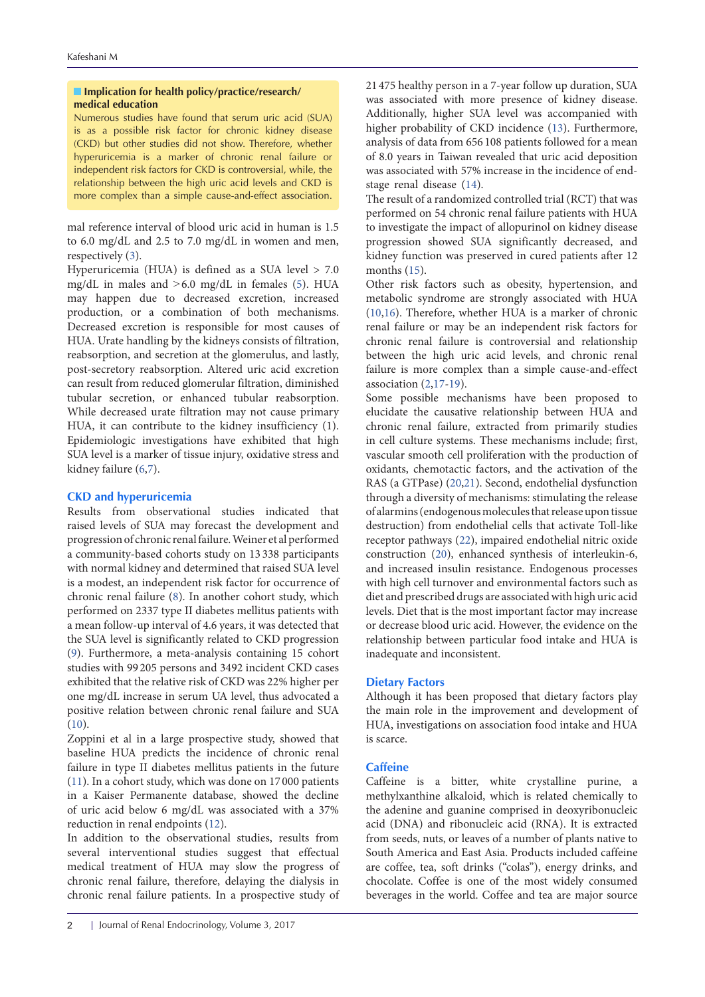# **Implication for health policy/practice/research/ medical education**

Numerous studies have found that serum uric acid (SUA) is as a possible risk factor for chronic kidney disease (CKD) but other studies did not show. Therefore, whether hyperuricemia is a marker of chronic renal failure or independent risk factors for CKD is controversial, while, the relationship between the high uric acid levels and CKD is more complex than a simple cause-and-effect association.

mal reference interval of blood uric acid in human is 1.5 to 6.0 mg/dL and 2.5 to 7.0 mg/dL in women and men, respectively [\(3](#page-3-2)).

Hyperuricemia (HUA) is defined as a SUA level > 7.0 mg/dL in males and  $>6.0$  mg/dL in females [\(5](#page-3-4)). HUA may happen due to decreased excretion, increased production, or a combination of both mechanisms. Decreased excretion is responsible for most causes of HUA. Urate handling by the kidneys consists of filtration, reabsorption, and secretion at the glomerulus, and lastly, post-secretory reabsorption. Altered uric acid excretion can result from reduced glomerular filtration, diminished tubular secretion, or enhanced tubular reabsorption. While decreased urate filtration may not cause primary HUA, it can contribute to the kidney insufficiency (1). Epidemiologic investigations have exhibited that high SUA level is a marker of tissue injury, oxidative stress and kidney failure ([6](#page-3-5),[7](#page-3-6)).

# **CKD and hyperuricemia**

Results from observational studies indicated that raised levels of SUA may forecast the development and progression of chronic renal failure. Weiner et al performed a community-based cohorts study on 13 338 participants with normal kidney and determined that raised SUA level is a modest, an independent risk factor for occurrence of chronic renal failure ([8\)](#page-3-7). In another cohort study, which performed on 2337 type II diabetes mellitus patients with a mean follow-up interval of 4.6 years, it was detected that the SUA level is significantly related to CKD progression [\(9\)](#page-3-8). Furthermore, a meta-analysis containing 15 cohort studies with 99 205 persons and 3492 incident CKD cases exhibited that the relative risk of CKD was 22% higher per one mg/dL increase in serum UA level, thus advocated a positive relation between chronic renal failure and SUA [\(10\)](#page-3-9).

Zoppini et al in a large prospective study, showed that baseline HUA predicts the incidence of chronic renal failure in type II diabetes mellitus patients in the future [\(11\)](#page-3-10). In a cohort study, which was done on 17 000 patients in a Kaiser Permanente database, showed the decline of uric acid below 6 mg/dL was associated with a 37% reduction in renal endpoints [\(12\)](#page-3-11).

In addition to the observational studies, results from several interventional studies suggest that effectual medical treatment of HUA may slow the progress of chronic renal failure, therefore, delaying the dialysis in chronic renal failure patients. In a prospective study of

21 475 healthy person in a 7-year follow up duration, SUA was associated with more presence of kidney disease. Additionally, higher SUA level was accompanied with higher probability of CKD incidence [\(13\)](#page-3-12). Furthermore, analysis of data from 656 108 patients followed for a mean of 8.0 years in Taiwan revealed that uric acid deposition was associated with 57% increase in the incidence of endstage renal disease [\(14\)](#page-3-13).

The result of a randomized controlled trial (RCT) that was performed on 54 chronic renal failure patients with HUA to investigate the impact of allopurinol on kidney disease progression showed SUA significantly decreased, and kidney function was preserved in cured patients after 12 months  $(15)$ .

Other risk factors such as obesity, hypertension, and metabolic syndrome are strongly associated with HUA [\(10](#page-3-9)[,16\)](#page-3-15). Therefore, whether HUA is a marker of chronic renal failure or may be an independent risk factors for chronic renal failure is controversial and relationship between the high uric acid levels, and chronic renal failure is more complex than a simple cause-and-effect association ([2,](#page-3-1)[17-](#page-3-16)[19\)](#page-3-17).

Some possible mechanisms have been proposed to elucidate the causative relationship between HUA and chronic renal failure, extracted from primarily studies in cell culture systems. These mechanisms include; first, vascular smooth cell proliferation with the production of oxidants, chemotactic factors, and the activation of the RAS (a GTPase) [\(20,](#page-3-18)[21\)](#page-4-0). Second, endothelial dysfunction through a diversity of mechanisms: stimulating the release of alarmins (endogenous molecules that release upon tissue destruction) from endothelial cells that activate Toll-like receptor pathways ([22\)](#page-4-1), impaired endothelial nitric oxide construction ([20](#page-3-18)), enhanced synthesis of interleukin-6, and increased insulin resistance. Endogenous processes with high cell turnover and environmental factors such as diet and prescribed drugs are associated with high uric acid levels. Diet that is the most important factor may increase or decrease blood uric acid. However, the evidence on the relationship between particular food intake and HUA is inadequate and inconsistent.

# **Dietary Factors**

Although it has been proposed that dietary factors play the main role in the improvement and development of HUA, investigations on association food intake and HUA is scarce.

# **Caffeine**

Caffeine is a bitter, white crystalline purine, a methylxanthine alkaloid, which is related chemically to the adenine and guanine comprised in deoxyribonucleic acid (DNA) and ribonucleic acid (RNA). It is extracted from seeds, nuts, or leaves of a number of plants native to South America and East Asia. Products included caffeine are coffee, tea, soft drinks ("colas"), energy drinks, and chocolate. Coffee is one of the most widely consumed beverages in the world. Coffee and tea are major source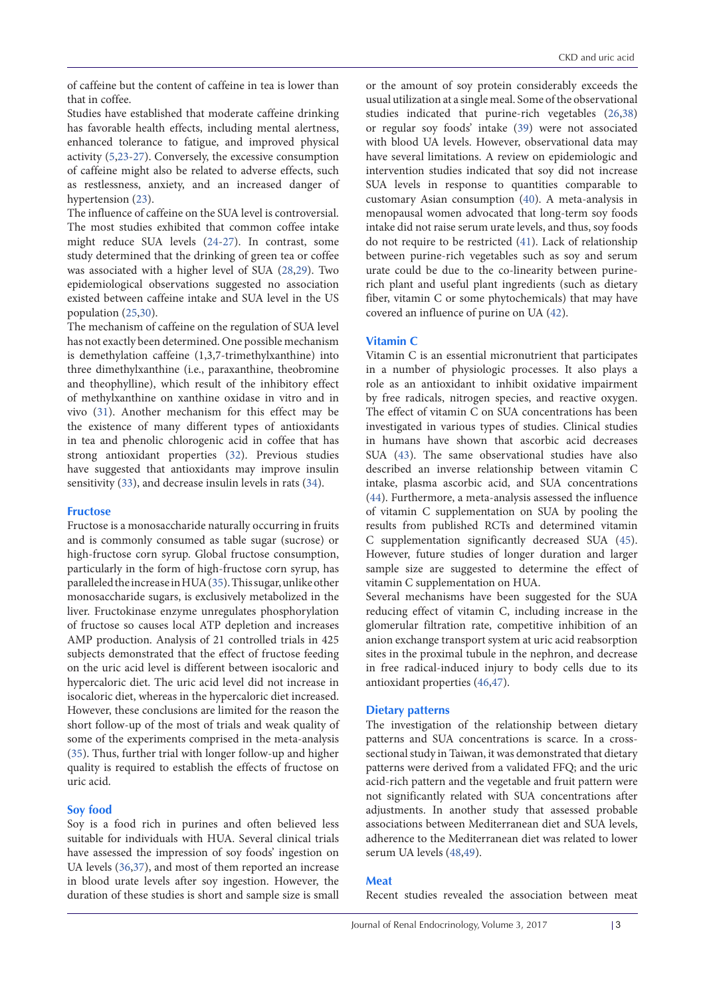of caffeine but the content of caffeine in tea is lower than that in coffee.

Studies have established that moderate caffeine drinking has favorable health effects, including mental alertness, enhanced tolerance to fatigue, and improved physical activity [\(5](#page-3-4)[,23](#page-4-2)[-27](#page-4-3)). Conversely, the excessive consumption of caffeine might also be related to adverse effects, such as restlessness, anxiety, and an increased danger of hypertension ([23\)](#page-4-2).

The influence of caffeine on the SUA level is controversial. The most studies exhibited that common coffee intake might reduce SUA levels [\(24-](#page-4-4)[27\)](#page-4-3). In contrast, some study determined that the drinking of green tea or coffee was associated with a higher level of SUA [\(28,](#page-4-5)[29\)](#page-4-6). Two epidemiological observations suggested no association existed between caffeine intake and SUA level in the US population [\(25,](#page-4-7)[30\)](#page-4-8).

The mechanism of caffeine on the regulation of SUA level has not exactly been determined. One possible mechanism is demethylation caffeine (1,3,7-trimethylxanthine) into three dimethylxanthine (i.e., paraxanthine, theobromine and theophylline), which result of the inhibitory effect of methylxanthine on xanthine oxidase in vitro and in vivo [\(31\)](#page-4-9). Another mechanism for this effect may be the existence of many different types of antioxidants in tea and phenolic chlorogenic acid in coffee that has strong antioxidant properties ([32](#page-4-10)). Previous studies have suggested that antioxidants may improve insulin sensitivity ([33](#page-4-11)), and decrease insulin levels in rats ([34](#page-4-12)).

# **Fructose**

Fructose is a monosaccharide naturally occurring in fruits and is commonly consumed as table sugar (sucrose) or high-fructose corn syrup. Global fructose consumption, particularly in the form of high-fructose corn syrup, has paralleled the increase in HUA [\(35\)](#page-4-13). This sugar, unlike other monosaccharide sugars, is exclusively metabolized in the liver. Fructokinase enzyme unregulates phosphorylation of fructose so causes local ATP depletion and increases AMP production. Analysis of 21 controlled trials in 425 subjects demonstrated that the effect of fructose feeding on the uric acid level is different between isocaloric and hypercaloric diet. The uric acid level did not increase in isocaloric diet, whereas in the hypercaloric diet increased. However, these conclusions are limited for the reason the short follow-up of the most of trials and weak quality of some of the experiments comprised in the meta-analysis [\(35\)](#page-4-13). Thus, further trial with longer follow-up and higher quality is required to establish the effects of fructose on uric acid.

# **Soy food**

Soy is a food rich in purines and often believed less suitable for individuals with HUA. Several clinical trials have assessed the impression of soy foods' ingestion on UA levels ([36](#page-4-14)[,37](#page-4-15)), and most of them reported an increase in blood urate levels after soy ingestion. However, the duration of these studies is short and sample size is small

or the amount of soy protein considerably exceeds the usual utilization at a single meal. Some of the observational studies indicated that purine-rich vegetables ([26](#page-4-16),[38](#page-4-17)) or regular soy foods' intake [\(39\)](#page-4-18) were not associated with blood UA levels. However, observational data may have several limitations. A review on epidemiologic and intervention studies indicated that soy did not increase SUA levels in response to quantities comparable to customary Asian consumption ([40\)](#page-4-19). A meta-analysis in menopausal women advocated that long-term soy foods intake did not raise serum urate levels, and thus, soy foods do not require to be restricted [\(41\)](#page-4-20). Lack of relationship between purine-rich vegetables such as soy and serum urate could be due to the co-linearity between purinerich plant and useful plant ingredients (such as dietary fiber, vitamin C or some phytochemicals) that may have covered an influence of purine on UA ([42](#page-4-21)).

# **Vitamin C**

Vitamin C is an essential micronutrient that participates in a number of physiologic processes. It also plays a role as an antioxidant to inhibit oxidative impairment by free radicals, nitrogen species, and reactive oxygen. The effect of vitamin C on SUA concentrations has been investigated in various types of studies. Clinical studies in humans have shown that ascorbic acid decreases SUA [\(43\)](#page-4-22). The same observational studies have also described an inverse relationship between vitamin C intake, plasma ascorbic acid, and SUA concentrations [\(44](#page-4-23)). Furthermore, a meta-analysis assessed the influence of vitamin C supplementation on SUA by pooling the results from published RCTs and determined vitamin C supplementation significantly decreased SUA [\(45\)](#page-4-24). However, future studies of longer duration and larger sample size are suggested to determine the effect of vitamin C supplementation on HUA.

Several mechanisms have been suggested for the SUA reducing effect of vitamin C, including increase in the glomerular filtration rate, competitive inhibition of an anion exchange transport system at uric acid reabsorption sites in the proximal tubule in the nephron, and decrease in free radical-induced injury to body cells due to its antioxidant properties [\(46](#page-4-25)[,47\)](#page-4-26).

## **Dietary patterns**

The investigation of the relationship between dietary patterns and SUA concentrations is scarce. In a crosssectional study in Taiwan, it was demonstrated that dietary patterns were derived from a validated FFQ; and the uric acid-rich pattern and the vegetable and fruit pattern were not significantly related with SUA concentrations after adjustments. In another study that assessed probable associations between Mediterranean diet and SUA levels, adherence to the Mediterranean diet was related to lower serum UA levels ([48](#page-4-27),[49](#page-4-28)).

## **Meat**

Recent studies revealed the association between meat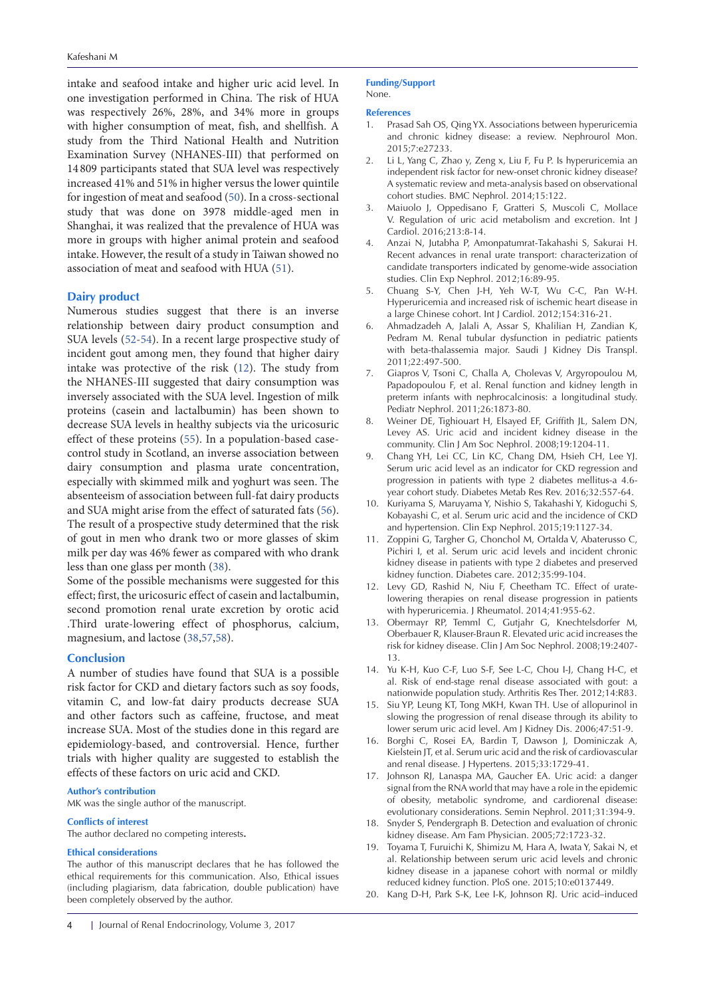intake and seafood intake and higher uric acid level. In one investigation performed in China. The risk of HUA was respectively 26%, 28%, and 34% more in groups with higher consumption of meat, fish, and shellfish. A study from the Third National Health and Nutrition Examination Survey (NHANES-III) that performed on 14 809 participants stated that SUA level was respectively increased 41% and 51% in higher versus the lower quintile for ingestion of meat and seafood [\(50\)](#page-4-29). In a cross-sectional study that was done on 3978 middle-aged men in Shanghai, it was realized that the prevalence of HUA was more in groups with higher animal protein and seafood intake. However, the result of a study in Taiwan showed no association of meat and seafood with HUA ([51\)](#page-4-30).

# **Dairy product**

Numerous studies suggest that there is an inverse relationship between dairy product consumption and SUA levels ([52](#page-4-31)-[54](#page-4-32)). In a recent large prospective study of incident gout among men, they found that higher dairy intake was protective of the risk ([12](#page-3-11)). The study from the NHANES-III suggested that dairy consumption was inversely associated with the SUA level. Ingestion of milk proteins (casein and lactalbumin) has been shown to decrease SUA levels in healthy subjects via the uricosuric effect of these proteins [\(55\)](#page-4-33). In a population-based casecontrol study in Scotland, an inverse association between dairy consumption and plasma urate concentration, especially with skimmed milk and yoghurt was seen. The absenteeism of association between full-fat dairy products and SUA might arise from the effect of saturated fats ([56\)](#page-4-33). The result of a prospective study determined that the risk of gout in men who drank two or more glasses of skim milk per day was 46% fewer as compared with who drank less than one glass per month ([38](#page-4-17)).

Some of the possible mechanisms were suggested for this effect; first, the uricosuric effect of casein and lactalbumin, second promotion renal urate excretion by orotic acid .Third urate-lowering effect of phosphorus, calcium, magnesium, and lactose [\(38,](#page-4-17)[57,](#page-4-34)[58\)](#page-4-35).

# **Conclusion**

A number of studies have found that SUA is a possible risk factor for CKD and dietary factors such as soy foods, vitamin C, and low-fat dairy products decrease SUA and other factors such as caffeine, fructose, and meat increase SUA. Most of the studies done in this regard are epidemiology-based, and controversial. Hence, further trials with higher quality are suggested to establish the effects of these factors on uric acid and CKD.

#### **Author's contribution**

MK was the single author of the manuscript.

### **Conflicts of interest**

The author declared no competing interests**.** 

#### **Ethical considerations**

The author of this manuscript declares that he has followed the ethical requirements for this communication. Also, Ethical issues (including plagiarism, data fabrication, double publication) have been completely observed by the author.

#### **Funding/Support**  None.

#### **References**

- <span id="page-3-0"></span>1. Prasad Sah OS, Qing YX. Associations between hyperuricemia and chronic kidney disease: a review. Nephrourol Mon. 2015;7:e27233.
- <span id="page-3-1"></span>2. Li L, Yang C, Zhao y, Zeng x, Liu F, Fu P. Is hyperuricemia an independent risk factor for new-onset chronic kidney disease? A systematic review and meta-analysis based on observational cohort studies. BMC Nephrol. 2014;15:122.
- <span id="page-3-2"></span>3. Maiuolo J, Oppedisano F, Gratteri S, Muscoli C, Mollace V. Regulation of uric acid metabolism and excretion. Int J Cardiol. 2016;213:8-14.
- <span id="page-3-3"></span>4. Anzai N, Jutabha P, Amonpatumrat-Takahashi S, Sakurai H. Recent advances in renal urate transport: characterization of candidate transporters indicated by genome-wide association studies. Clin Exp Nephrol. 2012;16:89-95.
- <span id="page-3-4"></span>5. Chuang S-Y, Chen J-H, Yeh W-T, Wu C-C, Pan W-H. Hyperuricemia and increased risk of ischemic heart disease in a large Chinese cohort. Int J Cardiol. 2012;154:316-21.
- <span id="page-3-5"></span>6. Ahmadzadeh A, Jalali A, Assar S, Khalilian H, Zandian K, Pedram M. Renal tubular dysfunction in pediatric patients with beta-thalassemia major. Saudi J Kidney Dis Transpl. 2011;22:497-500.
- <span id="page-3-6"></span>7. Giapros V, Tsoni C, Challa A, Cholevas V, Argyropoulou M, Papadopoulou F, et al. Renal function and kidney length in preterm infants with nephrocalcinosis: a longitudinal study. Pediatr Nephrol. 2011;26:1873-80.
- <span id="page-3-7"></span>8. Weiner DE, Tighiouart H, Elsayed EF, Griffith JL, Salem DN, Levey AS. Uric acid and incident kidney disease in the community. Clin J Am Soc Nephrol. 2008;19:1204-11.
- <span id="page-3-8"></span>9. Chang YH, Lei CC, Lin KC, Chang DM, Hsieh CH, Lee YJ. Serum uric acid level as an indicator for CKD regression and progression in patients with type 2 diabetes mellitus-a 4.6 year cohort study. Diabetes Metab Res Rev. 2016;32:557-64.
- <span id="page-3-9"></span>10. Kuriyama S, Maruyama Y, Nishio S, Takahashi Y, Kidoguchi S, Kobayashi C, et al. Serum uric acid and the incidence of CKD and hypertension. Clin Exp Nephrol. 2015;19:1127-34.
- <span id="page-3-10"></span>11. Zoppini G, Targher G, Chonchol M, Ortalda V, Abaterusso C, Pichiri I, et al. Serum uric acid levels and incident chronic kidney disease in patients with type 2 diabetes and preserved kidney function. Diabetes care. 2012;35:99-104.
- <span id="page-3-11"></span>12. Levy GD, Rashid N, Niu F, Cheetham TC. Effect of uratelowering therapies on renal disease progression in patients with hyperuricemia. J Rheumatol. 2014;41:955-62.
- <span id="page-3-12"></span>13. Obermayr RP, Temml C, Gutjahr G, Knechtelsdorfer M, Oberbauer R, Klauser-Braun R. Elevated uric acid increases the risk for kidney disease. Clin J Am Soc Nephrol. 2008;19:2407- 13.
- <span id="page-3-13"></span>14. Yu K-H, Kuo C-F, Luo S-F, See L-C, Chou I-J, Chang H-C, et al. Risk of end-stage renal disease associated with gout: a nationwide population study. Arthritis Res Ther. 2012;14:R83.
- <span id="page-3-14"></span>15. Siu YP, Leung KT, Tong MKH, Kwan TH. Use of allopurinol in slowing the progression of renal disease through its ability to lower serum uric acid level. Am J Kidney Dis. 2006;47:51-9.
- <span id="page-3-15"></span>16. Borghi C, Rosei EA, Bardin T, Dawson J, Dominiczak A, Kielstein JT, et al. Serum uric acid and the risk of cardiovascular and renal disease. J Hypertens. 2015;33:1729-41.
- <span id="page-3-16"></span>17. Johnson RJ, Lanaspa MA, Gaucher EA. Uric acid: a danger signal from the RNA world that may have a role in the epidemic of obesity, metabolic syndrome, and cardiorenal disease: evolutionary considerations. Semin Nephrol. 2011;31:394-9.
- 18. Snyder S, Pendergraph B. Detection and evaluation of chronic kidney disease. Am Fam Physician. 2005;72:1723-32.
- <span id="page-3-17"></span>19. Toyama T, Furuichi K, Shimizu M, Hara A, Iwata Y, Sakai N, et al. Relationship between serum uric acid levels and chronic kidney disease in a japanese cohort with normal or mildly reduced kidney function. PloS one. 2015;10:e0137449.
- <span id="page-3-18"></span>20. Kang D-H, Park S-K, Lee I-K, Johnson RJ. Uric acid–induced